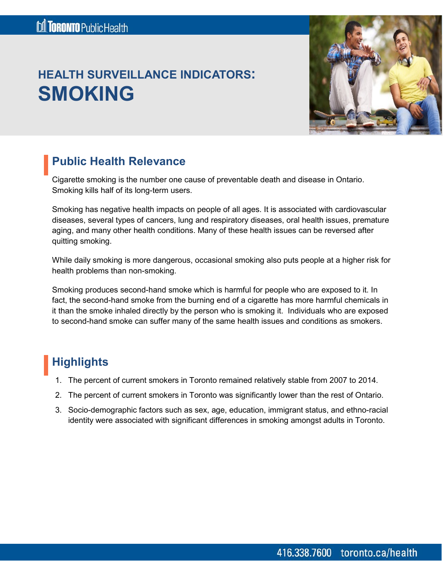# **HEALTH SURVEILLANCE INDICATORS: SMOKING**



### **Public Health Relevance**

Cigarette smoking is the number one cause of preventable death and disease in Ontario. Smoking kills half of its long-term users.

Smoking has negative health impacts on people of all ages. It is associated with cardiovascular diseases, several types of cancers, lung and respiratory diseases, oral health issues, premature aging, and many other health conditions. Many of these health issues can be reversed after quitting smoking.

While daily smoking is more dangerous, occasional smoking also puts people at a higher risk for health problems than non-smoking.

Smoking produces second-hand smoke which is harmful for people who are exposed to it. In fact, the second-hand smoke from the burning end of a cigarette has more harmful chemicals in it than the smoke inhaled directly by the person who is smoking it. Individuals who are exposed to second-hand smoke can suffer many of the same health issues and conditions as smokers.

# **Highlights**

- 1. The percent of current smokers in Toronto remained relatively stable from 2007 to 2014.
- 2. The percent of current smokers in Toronto was significantly lower than the rest of Ontario.
- 3. Socio-demographic factors such as sex, age, education, immigrant status, and ethno-racial identity were associated with significant differences in smoking amongst adults in Toronto.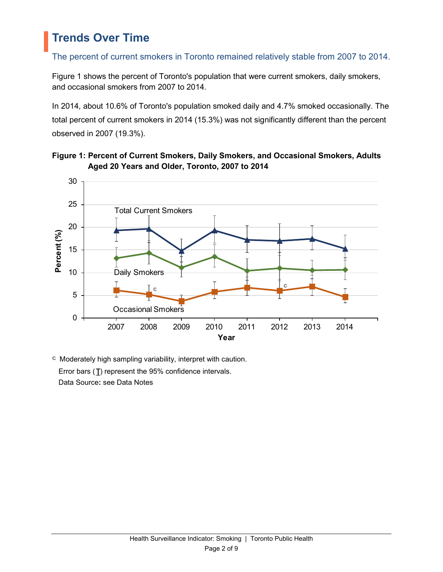### **Trends Over Time**

### The percent of current smokers in Toronto remained relatively stable from 2007 to 2014.

Figure 1 shows the percent of Toronto's population that were current smokers, daily smokers, and occasional smokers from 2007 to 2014.

In 2014, about 10.6% of Toronto's population smoked daily and 4.7% smoked occasionally. The total percent of current smokers in 2014 (15.3%) was not significantly different than the percent observed in 2007 (19.3%).





 $\degree$  Moderately high sampling variability, interpret with caution. Error bars  $(T)$  represent the 95% confidence intervals. Data Source**:** see Data Notes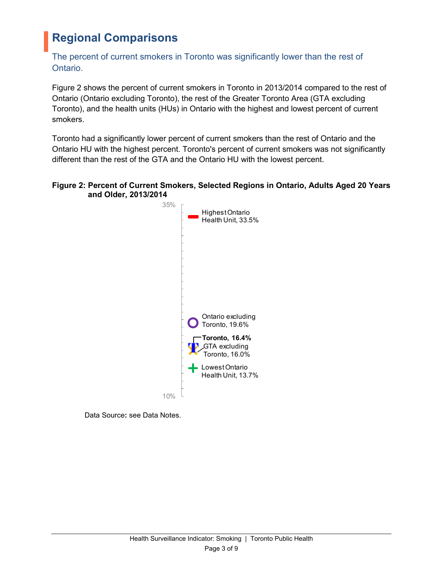## **Regional Comparisons**

### The percent of current smokers in Toronto was significantly lower than the rest of Ontario.

Figure 2 shows the percent of current smokers in Toronto in 2013/2014 compared to the rest of Ontario (Ontario excluding Toronto), the rest of the Greater Toronto Area (GTA excluding Toronto), and the health units (HUs) in Ontario with the highest and lowest percent of current smokers.

Toronto had a significantly lower percent of current smokers than the rest of Ontario and the Ontario HU with the highest percent. Toronto's percent of current smokers was not significantly different than the rest of the GTA and the Ontario HU with the lowest percent.

#### **Figure 2: Percent of Current Smokers, Selected Regions in Ontario, Adults Aged 20 Years and Older, 2013/2014**



Data Source**:** see Data Notes.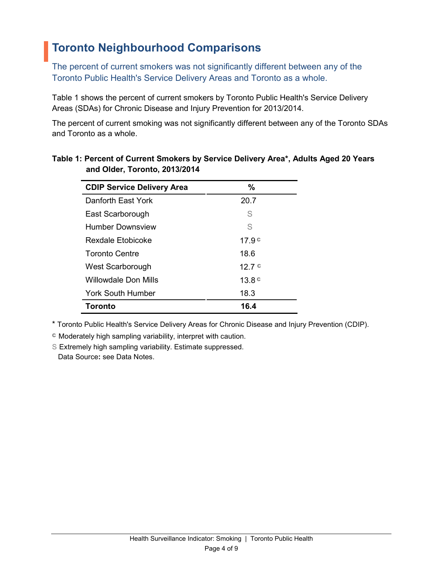## **Toronto Neighbourhood Comparisons**

The percent of current smokers was not significantly different between any of the Toronto Public Health's Service Delivery Areas and Toronto as a whole.

Table 1 shows the percent of current smokers by Toronto Public Health's Service Delivery Areas (SDAs) for Chronic Disease and Injury Prevention for 2013/2014.

The percent of current smoking was not significantly different between any of the Toronto SDAs and Toronto as a whole.

| <b>CDIP Service Delivery Area</b> | $\%$              |
|-----------------------------------|-------------------|
| Danforth East York                | 20.7              |
| East Scarborough                  | S                 |
| Humber Downsview                  | S                 |
| Rexdale Etobicoke                 | 17.9 <sup>c</sup> |
| <b>Toronto Centre</b>             | 18.6              |
| West Scarborough                  | 12.7c             |
| Willowdale Don Mills              | 13.8 <sup>c</sup> |
| <b>York South Humber</b>          | 18.3              |
| <b>Toronto</b>                    | 16.4              |

### **Table 1: Percent of Current Smokers by Service Delivery Area\*, Adults Aged 20 Years and Older, Toronto, 2013/2014**

\* Toronto Public Health's Service Delivery Areas for Chronic Disease and Injury Prevention (CDIP).

<sup>C</sup> Moderately high sampling variability, interpret with caution.

S Extremely high sampling variability. Estimate suppressed. Data Source**:** see Data Notes.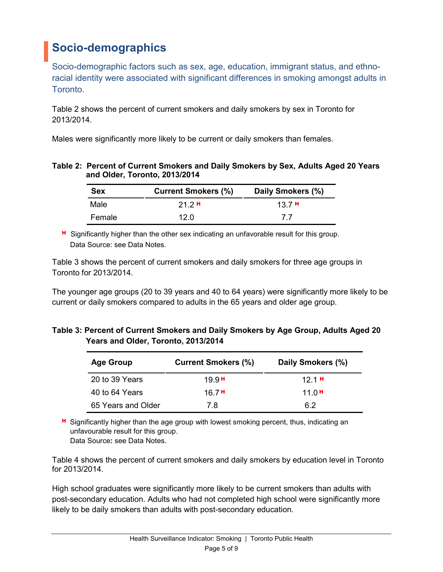# **Socio-demographics**

Socio-demographic factors such as sex, age, education, immigrant status, and ethnoracial identity were associated with significant differences in smoking amongst adults in Toronto.

Table 2 shows the percent of current smokers and daily smokers by sex in Toronto for 2013/2014.

Males were significantly more likely to be current or daily smokers than females.

| Table 2: Percent of Current Smokers and Daily Smokers by Sex, Adults Aged 20 Years |
|------------------------------------------------------------------------------------|
| and Older, Toronto, 2013/2014                                                      |

| <b>Sex</b> | <b>Current Smokers (%)</b> | Daily Smokers (%) |
|------------|----------------------------|-------------------|
| Male       | 212H                       | 137H              |
| Female     | 12.0                       | 77                |

H Significantly higher than the other sex indicating an unfavorable result for this group. Data Source: see Data Notes.

Table 3 shows the percent of current smokers and daily smokers for three age groups in Toronto for 2013/2014.

The younger age groups (20 to 39 years and 40 to 64 years) were significantly more likely to be current or daily smokers compared to adults in the 65 years and older age group.

#### **Table 3: Percent of Current Smokers and Daily Smokers by Age Group, Adults Aged 20 Years and Older, Toronto, 2013/2014**

| <b>Age Group</b>   | <b>Current Smokers (%)</b> | Daily Smokers (%) |
|--------------------|----------------------------|-------------------|
| 20 to 39 Years     | 19.9 H                     | 121H              |
| 40 to 64 Years     | 16 7 H                     | 11.0 $H$          |
| 65 Years and Older | 78                         | 62                |

**H** Significantly higher than the age group with lowest smoking percent, thus, indicating an unfavourable result for this group. Data Source**:** see Data Notes.

Table 4 shows the percent of current smokers and daily smokers by education level in Toronto for 2013/2014.

High school graduates were significantly more likely to be current smokers than adults with post-secondary education. Adults who had not completed high school were significantly more likely to be daily smokers than adults with post-secondary education.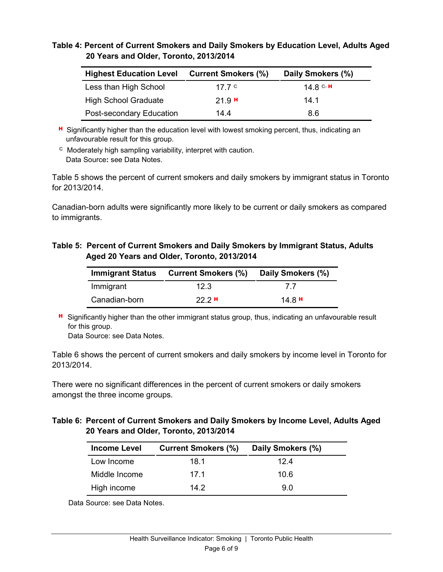#### **Table 4: Percent of Current Smokers and Daily Smokers by Education Level, Adults Aged 20 Years and Older, Toronto, 2013/2014**

| <b>Highest Education Level</b> | <b>Current Smokers (%)</b> | Daily Smokers (%) |
|--------------------------------|----------------------------|-------------------|
| Less than High School          | 17 7 C                     | 14 8 C H          |
| <b>High School Graduate</b>    | 21.9H                      | 14 1              |
| Post-secondary Education       | 144                        | 8.6               |

**H** Significantly higher than the education level with lowest smoking percent, thus, indicating an unfavourable result for this group.

<sup>C</sup> Moderately high sampling variability, interpret with caution. Data Source**:** see Data Notes.

Table 5 shows the percent of current smokers and daily smokers by immigrant status in Toronto for 2013/2014.

Canadian-born adults were significantly more likely to be current or daily smokers as compared to immigrants.

#### **Table 5: Percent of Current Smokers and Daily Smokers by Immigrant Status, Adults Aged 20 Years and Older, Toronto, 2013/2014**

|               | Immigrant Status Current Smokers (%) | Daily Smokers (%) |
|---------------|--------------------------------------|-------------------|
| Immigrant     | 12.3                                 | 77                |
| Canadian-born | 222H                                 | 14 8 H            |

**H** Significantly higher than the other immigrant status group, thus, indicating an unfavourable result for this group.

Data Source: see Data Notes.

Table 6 shows the percent of current smokers and daily smokers by income level in Toronto for 2013/2014.

There were no significant differences in the percent of current smokers or daily smokers amongst the three income groups.

#### **Table 6: Percent of Current Smokers and Daily Smokers by Income Level, Adults Aged 20 Years and Older, Toronto, 2013/2014**

| <b>Income Level</b> | <b>Current Smokers (%)</b> | Daily Smokers (%) |
|---------------------|----------------------------|-------------------|
| Low Income          | 18.1                       | 124               |
| Middle Income       | 17 1                       | 10.6              |
| High income         | 142                        | 9.0               |

Data Source: see Data Notes.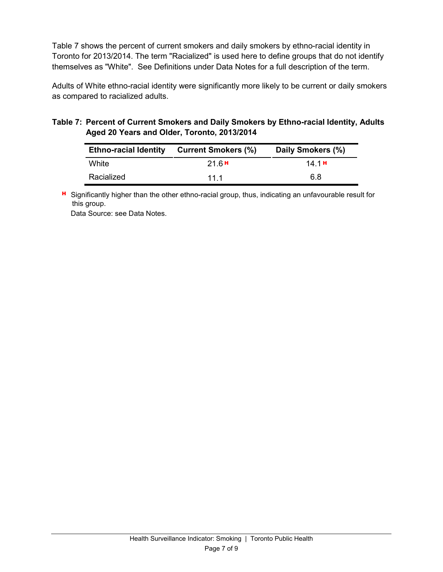Table 7 shows the percent of current smokers and daily smokers by ethno-racial identity in Toronto for 2013/2014. The term "Racialized" is used here to define groups that do not identify themselves as "White". See Definitions under Data Notes for a full description of the term.

Adults of White ethno-racial identity were significantly more likely to be current or daily smokers as compared to racialized adults.

#### **Table 7: Percent of Current Smokers and Daily Smokers by Ethno-racial Identity, Adults Aged 20 Years and Older, Toronto, 2013/2014**

| <b>Ethno-racial Identity</b> | <b>Current Smokers (%)</b> | Daily Smokers (%) |
|------------------------------|----------------------------|-------------------|
| White                        | 216H                       | 14 1 H            |
| Racialized                   | 11 1                       | 6.8               |

H Significantly higher than the other ethno-racial group, thus, indicating an unfavourable result for this group.

Data Source: see Data Notes.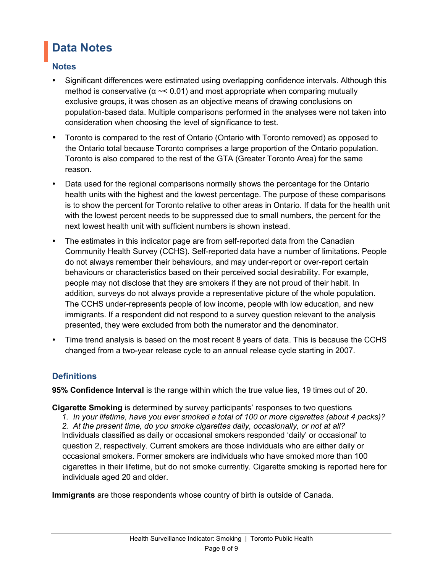# **Data Notes**

### **Notes**

- Significant differences were estimated using overlapping confidence intervals. Although this method is conservative ( $\alpha \sim 0.01$ ) and most appropriate when comparing mutually exclusive groups, it was chosen as an objective means of drawing conclusions on population-based data. Multiple comparisons performed in the analyses were not taken into consideration when choosing the level of significance to test.
- Toronto is compared to the rest of Ontario (Ontario with Toronto removed) as opposed to the Ontario total because Toronto comprises a large proportion of the Ontario population. Toronto is also compared to the rest of the GTA (Greater Toronto Area) for the same reason.
- Data used for the regional comparisons normally shows the percentage for the Ontario health units with the highest and the lowest percentage. The purpose of these comparisons is to show the percent for Toronto relative to other areas in Ontario. If data for the health unit with the lowest percent needs to be suppressed due to small numbers, the percent for the next lowest health unit with sufficient numbers is shown instead.
- The estimates in this indicator page are from self-reported data from the Canadian Community Health Survey (CCHS). Self-reported data have a number of limitations. People do not always remember their behaviours, and may under-report or over-report certain behaviours or characteristics based on their perceived social desirability. For example, people may not disclose that they are smokers if they are not proud of their habit*.* In addition, surveys do not always provide a representative picture of the whole population. The CCHS under-represents people of low income, people with low education, and new immigrants. If a respondent did not respond to a survey question relevant to the analysis presented, they were excluded from both the numerator and the denominator.
- Time trend analysis is based on the most recent 8 years of data. This is because the CCHS changed from a two-year release cycle to an annual release cycle starting in 2007.

### **Definitions**

**95% Confidence Interval** is the range within which the true value lies, 19 times out of 20.

**Cigarette Smoking** is determined by survey participants' responses to two questions

*1. In your lifetime, have you ever smoked a total of 100 or more cigarettes (about 4 packs)? 2. At the present time, do you smoke cigarettes daily, occasionally, or not at all?*  Individuals classified as daily or occasional smokers responded 'daily' or occasional' to question 2, respectively. Current smokers are those individuals who are either daily or occasional smokers. Former smokers are individuals who have smoked more than 100 cigarettes in their lifetime, but do not smoke currently. Cigarette smoking is reported here for individuals aged 20 and older.

**Immigrants** are those respondents whose country of birth is outside of Canada.